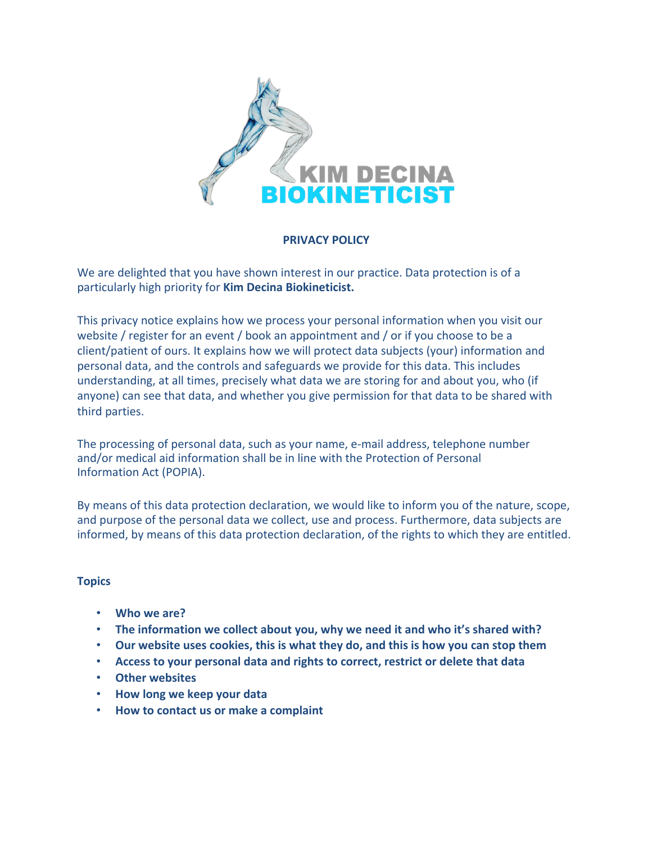

# **PRIVACY POLICY**

We are delighted that you have shown interest in our practice. Data protection is of a particularly high priority for **Kim Decina Biokineticist.**

This privacy notice explains how we process your personal information when you visit our website / register for an event / book an appointment and / or if you choose to be a client/patient of ours. It explains how we will protect data subjects (your) information and personal data, and the controls and safeguards we provide for this data. This includes understanding, at all times, precisely what data we are storing for and about you, who (if anyone) can see that data, and whether you give permission for that data to be shared with third parties.

The processing of personal data, such as your name, e-mail address, telephone number and/or medical aid information shall be in line with the Protection of Personal Information Act (POPIA).

By means of this data protection declaration, we would like to inform you of the nature, scope, and purpose of the personal data we collect, use and process. Furthermore, data subjects are informed, by means of this data protection declaration, of the rights to which they are entitled.

# **Topics**

- **Who we are?**
- **The information we collect about you, why we need it and who it's shared with?**
- **Our website uses cookies, this is what they do, and this is how you can stop them**
- **Access to your personal data and rights to correct, restrict or delete that data**
- **Other websites**
- **How long we keep your data**
- **How to contact us or make a complaint**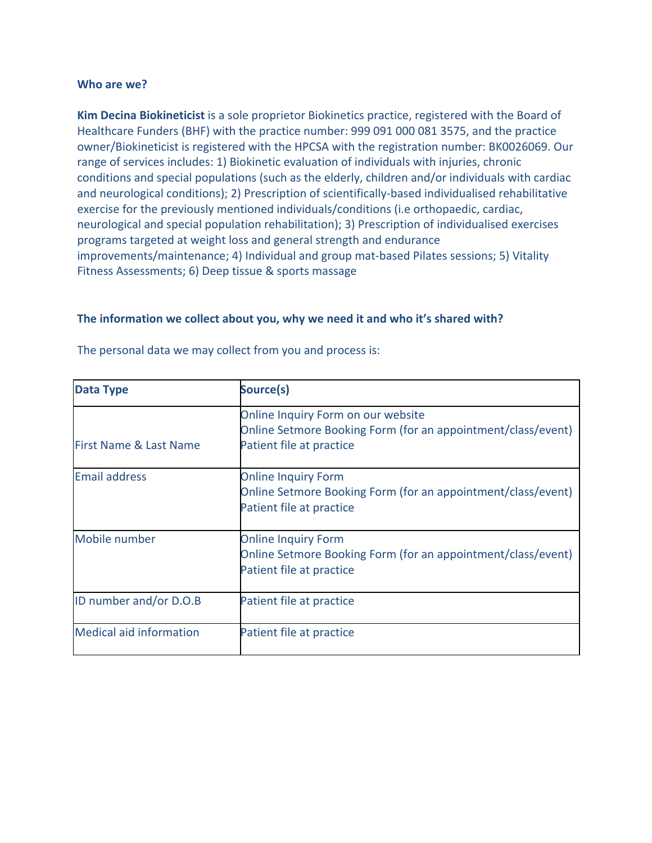### **Who are we?**

**Kim Decina Biokineticist** is a sole proprietor Biokinetics practice, registered with the Board of Healthcare Funders (BHF) with the practice number: 999 091 000 081 3575, and the practice owner/Biokineticist is registered with the HPCSA with the registration number: BK0026069. Our range of services includes: 1) Biokinetic evaluation of individuals with injuries, chronic conditions and special populations (such as the elderly, children and/or individuals with cardiac and neurological conditions); 2) Prescription of scientifically-based individualised rehabilitative exercise for the previously mentioned individuals/conditions (i.e orthopaedic, cardiac, neurological and special population rehabilitation); 3) Prescription of individualised exercises programs targeted at weight loss and general strength and endurance improvements/maintenance; 4) Individual and group mat-based Pilates sessions; 5) Vitality Fitness Assessments; 6) Deep tissue & sports massage

### **The information we collect about you, why we need it and who it's shared with?**

| <b>Data Type</b>                  | Source(s)                                                                                                                      |  |
|-----------------------------------|--------------------------------------------------------------------------------------------------------------------------------|--|
| <b>First Name &amp; Last Name</b> | Online Inquiry Form on our website<br>Online Setmore Booking Form (for an appointment/class/event)<br>Patient file at practice |  |
| <b>Email address</b>              | <b>Online Inquiry Form</b><br>Online Setmore Booking Form (for an appointment/class/event)<br>Patient file at practice         |  |
| Mobile number                     | <b>Online Inquiry Form</b><br>Online Setmore Booking Form (for an appointment/class/event)<br>Patient file at practice         |  |
| ID number and/or D.O.B            | Patient file at practice                                                                                                       |  |
| <b>Medical aid information</b>    | Patient file at practice                                                                                                       |  |

The personal data we may collect from you and process is: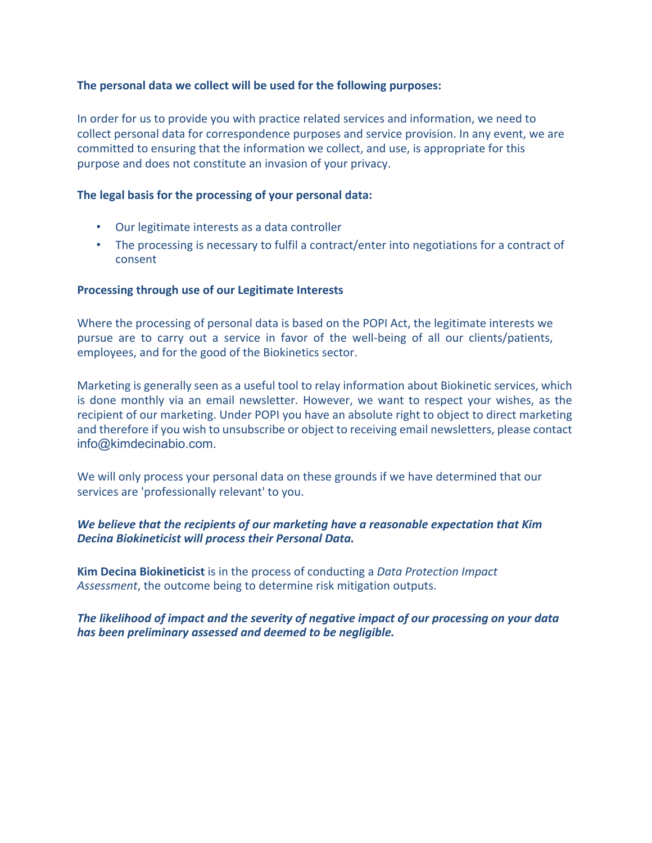# **The personal data we collect will be used for the following purposes:**

In order for us to provide you with practice related services and information, we need to collect personal data for correspondence purposes and service provision. In any event, we are committed to ensuring that the information we collect, and use, is appropriate for this purpose and does not constitute an invasion of your privacy.

## **The legal basis for the processing of your personal data:**

- Our legitimate interests as a data controller
- The processing is necessary to fulfil a contract/enter into negotiations for a contract of consent

## **Processing through use of our Legitimate Interests**

Where the processing of personal data is based on the POPI Act, the legitimate interests we pursue are to carry out a service in favor of the well-being of all our clients/patients, employees, and for the good of the Biokinetics sector.

Marketing is generally seen as a useful tool to relay information about Biokinetic services, which is done monthly via an email newsletter. However, we want to respect your wishes, as the recipient of our marketing. Under POPI you have an absolute right to object to direct marketing and therefore if you wish to unsubscribe or object to receiving email newsletters, please contact info@kimdecinabio.com.

We will only process your personal data on these grounds if we have determined that our services are 'professionally relevant' to you.

# *We believe that the recipients of our marketing have a reasonable expectation that Kim Decina Biokineticist will process their Personal Data.*

**Kim Decina Biokineticist** is in the process of conducting a *Data Protection Impact Assessment*, the outcome being to determine risk mitigation outputs.

# *The likelihood of impact and the severity of negative impact of our processing on your data has been preliminary assessed and deemed to be negligible.*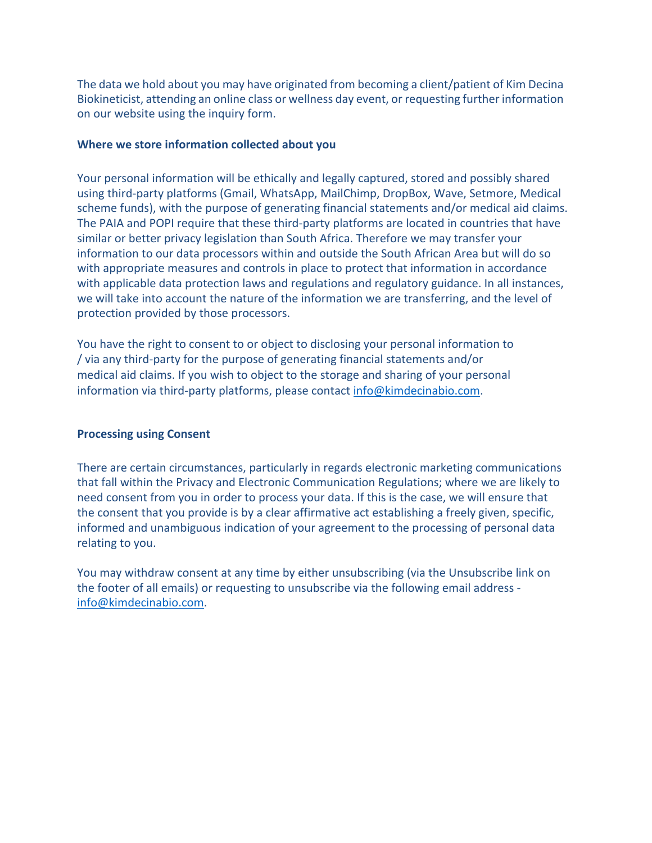The data we hold about you may have originated from becoming a client/patient of Kim Decina Biokineticist, attending an online class or wellness day event, or requesting further information on our website using the inquiry form.

## **Where we store information collected about you**

Your personal information will be ethically and legally captured, stored and possibly shared using third-party platforms (Gmail, WhatsApp, MailChimp, DropBox, Wave, Setmore, Medical scheme funds), with the purpose of generating financial statements and/or medical aid claims. The PAIA and POPI require that these third-party platforms are located in countries that have similar or better privacy legislation than South Africa. Therefore we may transfer your information to our data processors within and outside the South African Area but will do so with appropriate measures and controls in place to protect that information in accordance with applicable data protection laws and regulations and regulatory guidance. In all instances, we will take into account the nature of the information we are transferring, and the level of protection provided by those processors.

You have the right to consent to or object to disclosing your personal information to / via any third-party for the purpose of generating financial statements and/or medical aid claims. If you wish to object to the storage and sharing of your personal information via third-party platforms, please contact info@kimdecinabio.com.

### **Processing using Consent**

There are certain circumstances, particularly in regards electronic marketing communications that fall within the Privacy and Electronic Communication Regulations; where we are likely to need consent from you in order to process your data. If this is the case, we will ensure that the consent that you provide is by a clear affirmative act establishing a freely given, specific, informed and unambiguous indication of your agreement to the processing of personal data relating to you.

You may withdraw consent at any time by either unsubscribing (via the Unsubscribe link on the footer of all emails) or requesting to unsubscribe via the following email address info@kimdecinabio.com.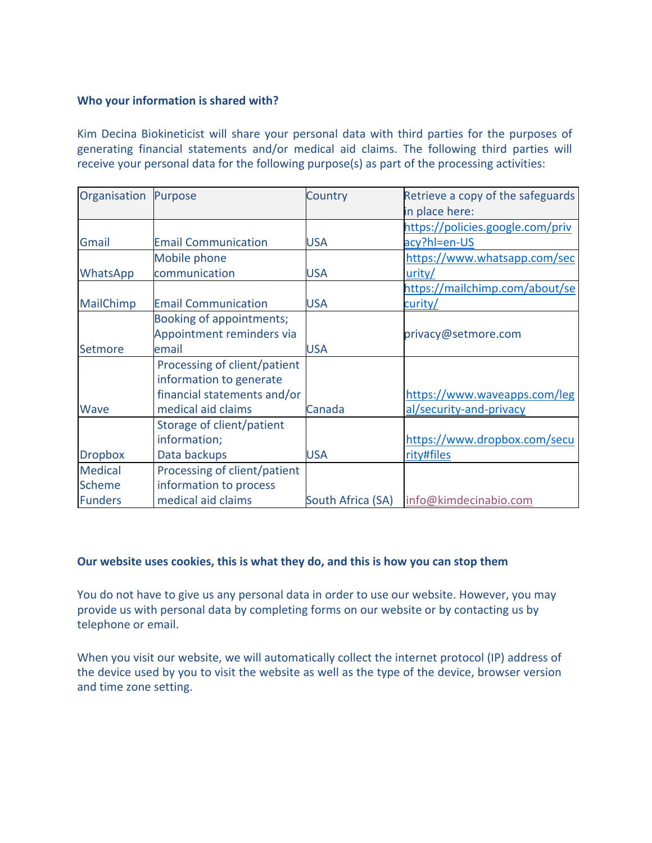# **Who your information is shared with?**

Kim Decina Biokineticist will share your personal data with third parties for the purposes of generating financial statements and/or medical aid claims. The following third parties will receive your personal data for the following purpose(s) as part of the processing activities:

| Organisation Purpose                              |                                                                                                              | Country           | Retrieve a copy of the safeguards<br>in place here:     |
|---------------------------------------------------|--------------------------------------------------------------------------------------------------------------|-------------------|---------------------------------------------------------|
| Gmail                                             | <b>Email Communication</b>                                                                                   | <b>USA</b>        | https://policies.google.com/priv<br>acy?hl=en-US        |
| WhatsApp                                          | Mobile phone<br>communication                                                                                | <b>USA</b>        | https://www.whatsapp.com/sec<br>urity/                  |
| MailChimp                                         | <b>Email Communication</b>                                                                                   | <b>USA</b>        | https://mailchimp.com/about/se<br>curity/               |
| Setmore                                           | Booking of appointments;<br>Appointment reminders via<br>email                                               | <b>USA</b>        | privacy@setmore.com                                     |
| <b>Wave</b>                                       | Processing of client/patient<br>information to generate<br>financial statements and/or<br>medical aid claims | Canada            | https://www.waveapps.com/leg<br>al/security-and-privacy |
| <b>Dropbox</b>                                    | Storage of client/patient<br>information;<br>Data backups                                                    | <b>USA</b>        | https://www.dropbox.com/secu<br>rity#files              |
| <b>Medical</b><br><b>Scheme</b><br><b>Funders</b> | Processing of client/patient<br>information to process<br>medical aid claims                                 | South Africa (SA) | info@kimdecinabio.com                                   |

### **Our website uses cookies, this is what they do, and this is how you can stop them**

You do not have to give us any personal data in order to use our website. However, you may provide us with personal data by completing forms on our website or by contacting us by telephone or email.

When you visit our website, we will automatically collect the internet protocol (IP) address of the device used by you to visit the website as well as the type of the device, browser version and time zone setting.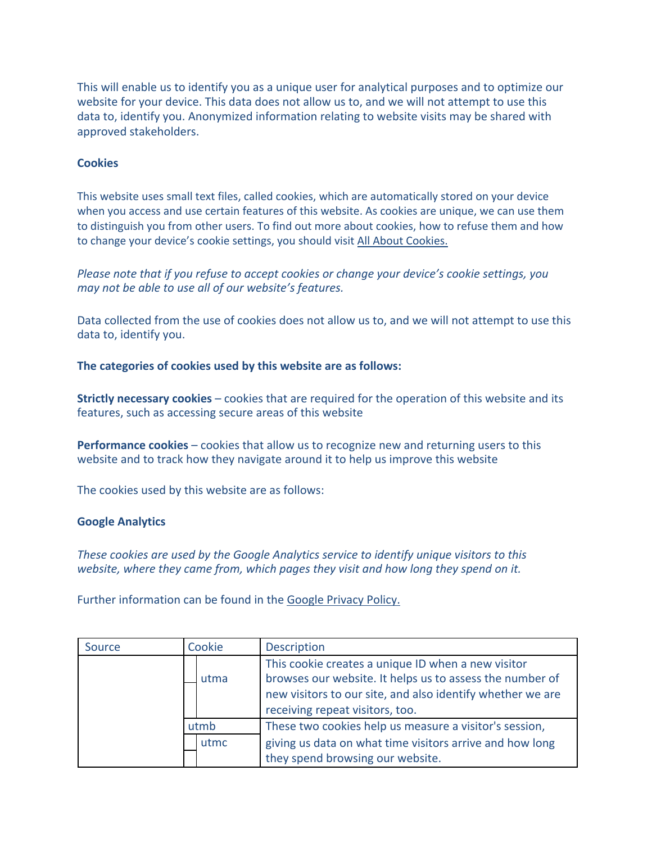This will enable us to identify you as a unique user for analytical purposes and to optimize our website for your device. This data does not allow us to, and we will not attempt to use this data to, identify you. Anonymized information relating to website visits may be shared with approved stakeholders.

### **Cookies**

This website uses small text files, called cookies, which are automatically stored on your device when you access and use certain features of this website. As cookies are unique, we can use them to distinguish you from other users. To find out more about cookies, how to refuse them and how to change your device's cookie settings, you should visit All About Cookies.

*Please note that if you refuse to accept cookies or change your device's cookie settings, you may not be able to use all of our website's features.*

Data collected from the use of cookies does not allow us to, and we will not attempt to use this data to, identify you.

**The categories of cookies used by this website are as follows:**

**Strictly necessary cookies** – cookies that are required for the operation of this website and its features, such as accessing secure areas of this website

**Performance cookies –** cookies that allow us to recognize new and returning users to this website and to track how they navigate around it to help us improve this website

The cookies used by this website are as follows:

#### **Google Analytics**

*These cookies are used by the Google Analytics service to identify unique visitors to this website, where they came from, which pages they visit and how long they spend on it.*

Further information can be found in the Google Privacy Policy.

| Source | Cookie | <b>Description</b>                                                                                                                                                                                              |
|--------|--------|-----------------------------------------------------------------------------------------------------------------------------------------------------------------------------------------------------------------|
|        | utma   | This cookie creates a unique ID when a new visitor<br>browses our website. It helps us to assess the number of<br>new visitors to our site, and also identify whether we are<br>receiving repeat visitors, too. |
|        | utmb   | These two cookies help us measure a visitor's session,                                                                                                                                                          |
|        | utmc   | giving us data on what time visitors arrive and how long<br>they spend browsing our website.                                                                                                                    |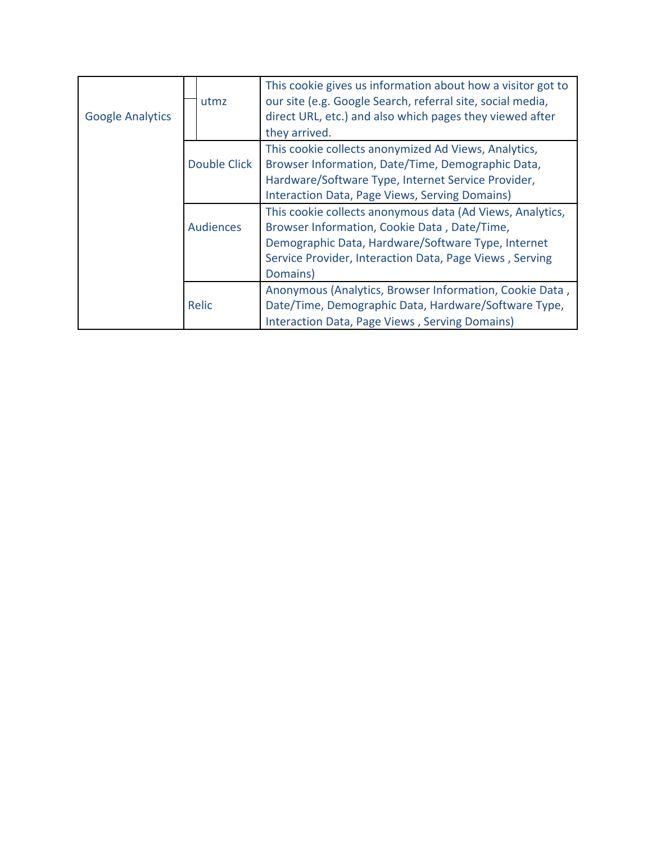| <b>Google Analytics</b> | utmz             | This cookie gives us information about how a visitor got to<br>our site (e.g. Google Search, referral site, social media,<br>direct URL, etc.) and also which pages they viewed after<br>they arrived. |
|-------------------------|------------------|--------------------------------------------------------------------------------------------------------------------------------------------------------------------------------------------------------|
|                         |                  | This cookie collects anonymized Ad Views, Analytics,                                                                                                                                                   |
|                         | Double Click     | Browser Information, Date/Time, Demographic Data,                                                                                                                                                      |
|                         |                  | Hardware/Software Type, Internet Service Provider,                                                                                                                                                     |
|                         |                  | Interaction Data, Page Views, Serving Domains)                                                                                                                                                         |
|                         |                  | This cookie collects anonymous data (Ad Views, Analytics,                                                                                                                                              |
|                         | <b>Audiences</b> | Browser Information, Cookie Data, Date/Time,                                                                                                                                                           |
|                         |                  | Demographic Data, Hardware/Software Type, Internet                                                                                                                                                     |
|                         |                  | Service Provider, Interaction Data, Page Views, Serving                                                                                                                                                |
|                         |                  | Domains)                                                                                                                                                                                               |
|                         |                  | Anonymous (Analytics, Browser Information, Cookie Data,                                                                                                                                                |
|                         | Relic            | Date/Time, Demographic Data, Hardware/Software Type,                                                                                                                                                   |
|                         |                  | Interaction Data, Page Views, Serving Domains)                                                                                                                                                         |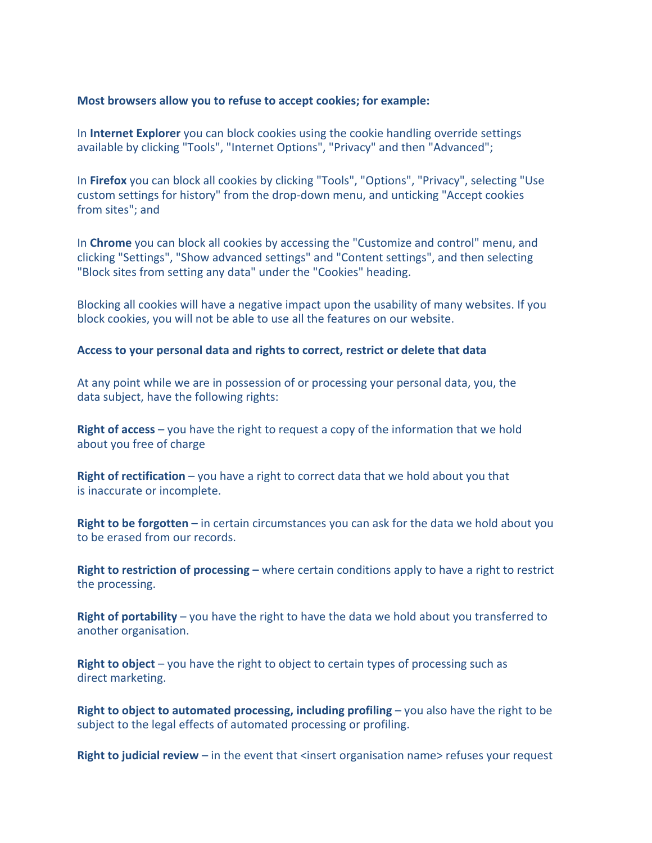### **Most browsers allow you to refuse to accept cookies; for example:**

In **Internet Explorer** you can block cookies using the cookie handling override settings available by clicking "Tools", "Internet Options", "Privacy" and then "Advanced";

In **Firefox** you can block all cookies by clicking "Tools", "Options", "Privacy", selecting "Use custom settings for history" from the drop-down menu, and unticking "Accept cookies from sites"; and

In **Chrome** you can block all cookies by accessing the "Customize and control" menu, and clicking "Settings", "Show advanced settings" and "Content settings", and then selecting "Block sites from setting any data" under the "Cookies" heading.

Blocking all cookies will have a negative impact upon the usability of many websites. If you block cookies, you will not be able to use all the features on our website.

### **Access to your personal data and rights to correct, restrict or delete that data**

At any point while we are in possession of or processing your personal data, you, the data subject, have the following rights:

**Right of access** – you have the right to request a copy of the information that we hold about you free of charge

**Right of rectification** – you have a right to correct data that we hold about you that is inaccurate or incomplete.

**Right to be forgotten** – in certain circumstances you can ask for the data we hold about you to be erased from our records.

**Right to restriction of processing –** where certain conditions apply to have a right to restrict the processing.

**Right of portability** – you have the right to have the data we hold about you transferred to another organisation.

**Right to object** – you have the right to object to certain types of processing such as direct marketing.

**Right to object to automated processing, including profiling – you also have the right to be** subject to the legal effects of automated processing or profiling.

**Right to judicial review** – in the event that <insert organisation name> refuses your request